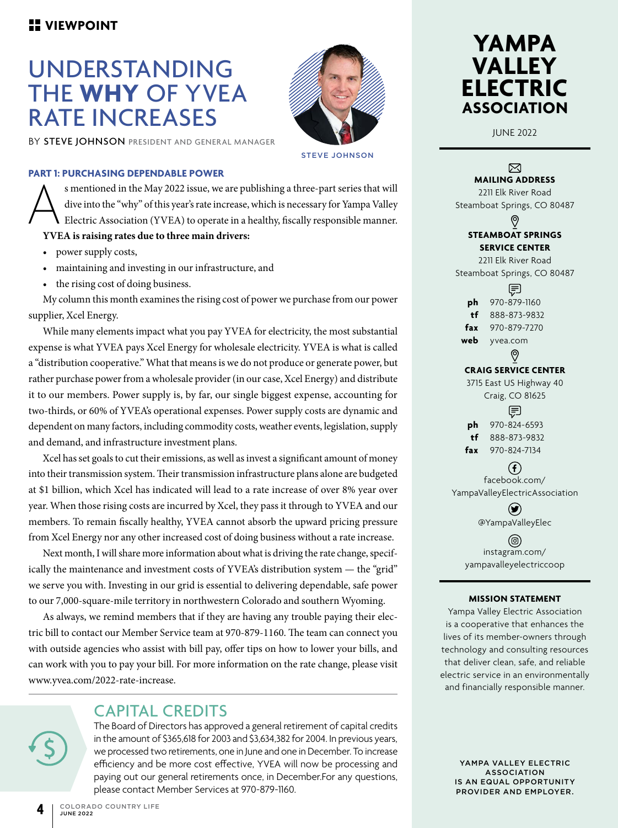# UNDERSTANDING THE **WHY** OF YVEA RATE INCREASES

BY STEVE JOHNSON PRESIDENT AND GENERAL MANAGER



### STEVE JOHNSON

#### **PART 1: PURCHASING DEPENDABLE POWER**

Subsetioned in the May 2022 issue, we are publishing a three-part series that will<br>dive into the "why" of this year's rate increase, which is necessary for Yampa Valley<br>Electric Association (YVEA) to operate in a healthy, dive into the "why" of this year's rate increase, which is necessary for Yampa Valley Electric Association (YVEA) to operate in a healthy, fiscally responsible manner. **YVEA is raising rates due to three main drivers:** 

- power supply costs,
- maintaining and investing in our infrastructure, and
- the rising cost of doing business.

My column this month examines the rising cost of power we purchase from our power supplier, Xcel Energy.

While many elements impact what you pay YVEA for electricity, the most substantial expense is what YVEA pays Xcel Energy for wholesale electricity. YVEA is what is called a "distribution cooperative." What that means is we do not produce or generate power, but rather purchase power from a wholesale provider (in our case, Xcel Energy) and distribute it to our members. Power supply is, by far, our single biggest expense, accounting for two-thirds, or 60% of YVEA's operational expenses. Power supply costs are dynamic and dependent on many factors, including commodity costs, weather events, legislation, supply and demand, and infrastructure investment plans.

Xcel has set goals to cut their emissions, as well as invest a significant amount of money into their transmission system. Their transmission infrastructure plans alone are budgeted at \$1 billion, which Xcel has indicated will lead to a rate increase of over 8% year over year. When those rising costs are incurred by Xcel, they pass it through to YVEA and our members. To remain fiscally healthy, YVEA cannot absorb the upward pricing pressure from Xcel Energy nor any other increased cost of doing business without a rate increase.

Next month, I will share more information about what is driving the rate change, specifically the maintenance and investment costs of YVEA's distribution system — the "grid" we serve you with. Investing in our grid is essential to delivering dependable, safe power to our 7,000-square-mile territory in northwestern Colorado and southern Wyoming.

As always, we remind members that if they are having any trouble paying their electric bill to contact our Member Service team at 970-879-1160. The team can connect you with outside agencies who assist with bill pay, offer tips on how to lower your bills, and can work with you to pay your bill. For more information on the rate change, please visit www.yvea.com/2022-rate-increase.

## CAPITAL CREDITS

The Board of Directors has approved a general retirement of capital credits in the amount of \$365,618 for 2003 and \$3,634,382 for 2004. In previous years, we processed two retirements, one in June and one in December. To increase efficiency and be more cost effective, YVEA will now be processing and paying out our general retirements once, in December.For any questions, please contact Member Services at 970-879-1160.



JUNE 2022

#### ⊠ **MAILING ADDRESS**

2211 Elk River Road Steamboat Springs, CO 80487 ଡ଼ **STEAMBOAT SPRINGS SERVICE CENTER** 2211 Elk River Road

Steamboat Springs, CO 80487

臣 **ph** 970-879-1160 **tf** 888-873-9832 **fax** 970-879-7270 **web** yvea.com

#### ଡ଼

### **CRAIG SERVICE CENTER**

3715 East US Highway 40 Craig, CO 81625 目 **ph** 970-824-6593 **tf** 888-873-9832

**fax** 970-824-7134

### $\left( f\right)$ facebook.com/

YampaValleyElectricAssociation

 $(\blacktriangleright\hspace{-4pt}\blacktriangleright)$ @YampaValleyElec

(ම) instagram.com/ yampavalleyelectriccoop

#### **MISSION STATEMENT**

Yampa Valley Electric Association is a cooperative that enhances the lives of its member-owners through technology and consulting resources that deliver clean, safe, and reliable electric service in an environmentally and financially responsible manner.

YAMPA VALLEY ELECTRIC ASSOCIATION IS AN EQUAL OPPORTUNITY PROVIDER AND EMPLOYER.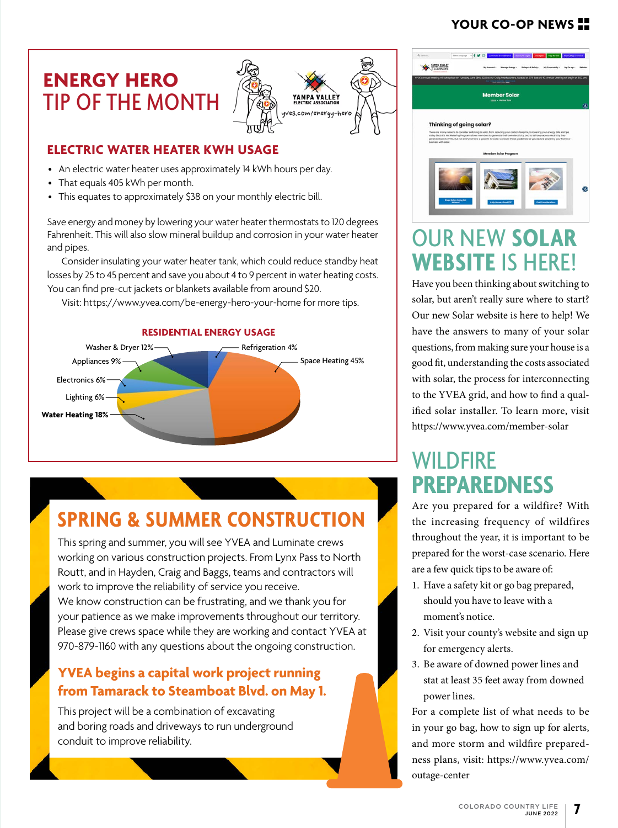## **YOUR CO-OP NEWS**

## **ENERGY HERO** TIP OF THE MONTH



### **ELECTRIC WATER HEATER KWH USAGE**

- An electric water heater uses approximately 14 kWh hours per day.
- That equals 405 kWh per month.
- This equates to approximately \$38 on your monthly electric bill.

Save energy and money by lowering your water heater thermostats to 120 degrees Fahrenheit. This will also slow mineral buildup and corrosion in your water heater and pipes.

Consider insulating your water heater tank, which could reduce standby heat losses by 25 to 45 percent and save you about 4 to 9 percent in water heating costs. You can find pre-cut jackets or blankets available from around \$20.

Visit: https://www.yvea.com/be-energy-hero-your-home for more tips.



### **RESIDENTIAL ENERGY USAGE**

# **SPRING & SUMMER CONSTRUCTION**

This spring and summer, you will see YVEA and Luminate crews working on various construction projects. From Lynx Pass to North Routt, and in Hayden, Craig and Baggs, teams and contractors will work to improve the reliability of service you receive. We know construction can be frustrating, and we thank you for your patience as we make improvements throughout our territory. Please give crews space while they are working and contact YVEA at 970-879-1160 with any questions about the ongoing construction.

## **YVEA begins a capital work project running from Tamarack to Steamboat Blvd. on May 1.**

This project will be a combination of excavating and boring roads and driveways to run underground conduit to improve reliability.



# OUR NEW **SOLAR WEBSITE** IS HERE!

Have you been thinking about switching to solar, but aren't really sure where to start? Our new Solar website is here to help! We have the answers to many of your solar questions, from making sure your house is a good fit, understanding the costs associated with solar, the process for interconnecting to the YVEA grid, and how to find a qualified solar installer. To learn more, visit https://www.yvea.com/member-solar

# WII DFIRF **PREPAREDNESS**

Are you prepared for a wildfire? With the increasing frequency of wildfires throughout the year, it is important to be prepared for the worst-case scenario. Here are a few quick tips to be aware of:

- 1. Have a safety kit or go bag prepared, should you have to leave with a moment's notice.
- 2. Visit your county's website and sign up for emergency alerts.
- 3. Be aware of downed power lines and stat at least 35 feet away from downed power lines.

For a complete list of what needs to be in your go bag, how to sign up for alerts, and more storm and wildfire preparedness plans, visit: https://www.yvea.com/ outage-center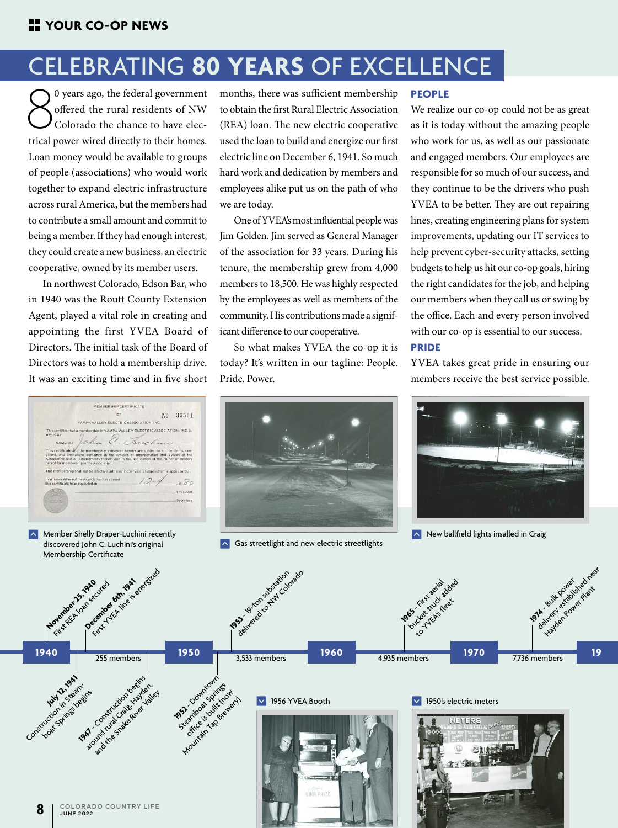# CELEBRATING **80 YEARS** OF EXCELLENCE

 $\sum_{\text{1}}^{0}$  years ago, the federal government<br>offered the rural residents of NW<br>Colorado the chance to have electrical power wired directly to their homes. 0 years ago, the federal government offered the rural residents of NW Colorado the chance to have elec-Loan money would be available to groups of people (associations) who would work together to expand electric infrastructure across rural America, but the members had to contribute a small amount and commit to being a member. If they had enough interest, they could create a new business, an electric cooperative, owned by its member users.

In northwest Colorado, Edson Bar, who in 1940 was the Routt County Extension Agent, played a vital role in creating and appointing the first YVEA Board of Directors. The initial task of the Board of Directors was to hold a membership drive. It was an exciting time and in five short



Member Shelly Draper-Luchini recently discovered John C. Luchini's original Membership Certificate

months, there was sufficient membership to obtain the first Rural Electric Association (REA) loan. The new electric cooperative used the loan to build and energize our first electric line on December 6, 1941. So much hard work and dedication by members and employees alike put us on the path of who we are today.

One of YVEA's most influential people was Jim Golden. Jim served as General Manager of the association for 33 years. During his tenure, the membership grew from 4,000 members to 18,500. He was highly respected by the employees as well as members of the community. His contributions made a significant difference to our cooperative.

So what makes YVEA the co-op it is today? It's written in our tagline: People. Pride. Power.

#### **PEOPLE**

We realize our co-op could not be as great as it is today without the amazing people who work for us, as well as our passionate and engaged members. Our employees are responsible for so much of our success, and they continue to be the drivers who push YVEA to be better. They are out repairing lines, creating engineering plans for system improvements, updating our IT services to help prevent cyber-security attacks, setting budgets to help us hit our co-op goals, hiring the right candidates for the job, and helping our members when they call us or swing by the office. Each and every person involved with our co-op is essential to our success.

### **PRIDE**

YVEA takes great pride in ensuring our members receive the best service possible.



 $\sim$  Gas streetlight and new electric streetlights



 $\sim$  New ballfield lights insalled in Craig

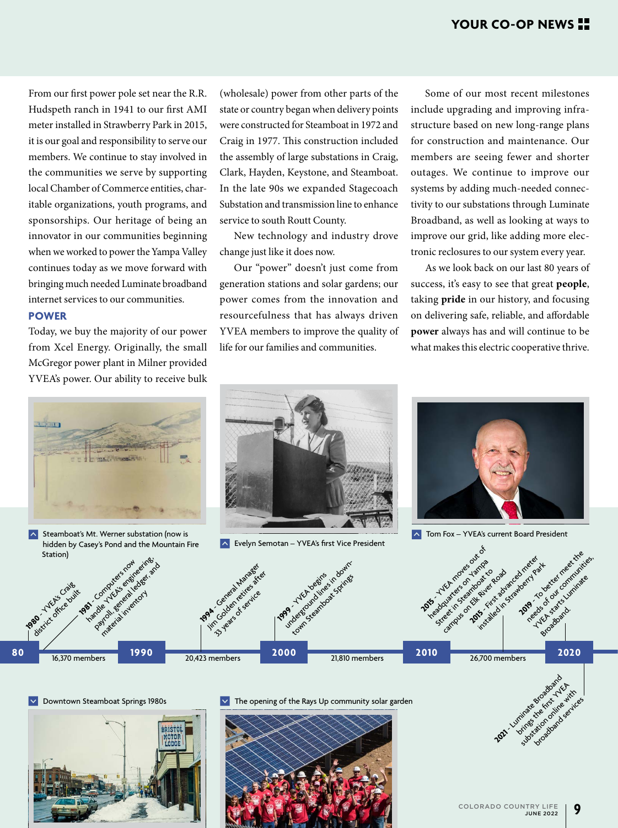From our first power pole set near the R.R. Hudspeth ranch in 1941 to our first AMI meter installed in Strawberry Park in 2015, it is our goal and responsibility to serve our members. We continue to stay involved in the communities we serve by supporting local Chamber of Commerce entities, charitable organizations, youth programs, and sponsorships. Our heritage of being an innovator in our communities beginning when we worked to power the Yampa Valley continues today as we move forward with bringing much needed Luminate broadband internet services to our communities.

### **POWER**

Today, we buy the majority of our power from Xcel Energy. Originally, the small McGregor power plant in Milner provided YVEA's power. Our ability to receive bulk



hidden by Casey's Pond and the Mountain Fire Station) **1981** Computers now device in the series of the series of the series of the series of the series of the series of the series of the series of the series of the series of the series of the series of the series of the serie Handle Youngers using either

payrol de ledger and material inventory

(wholesale) power from other parts of the state or country began when delivery points were constructed for Steamboat in 1972 and Craig in 1977. This construction included the assembly of large substations in Craig, Clark, Hayden, Keystone, and Steamboat. In the late 90s we expanded Stagecoach Substation and transmission line to enhance service to south Routt County.

New technology and industry drove change just like it does now.

Our "power" doesn't just come from generation stations and solar gardens; our power comes from the innovation and resourcefulness that has always driven YVEA members to improve the quality of life for our families and communities.

Some of our most recent milestones include upgrading and improving infrastructure based on new long-range plans for construction and maintenance. Our members are seeing fewer and shorter outages. We continue to improve our systems by adding much-needed connectivity to our substations through Luminate Broadband, as well as looking at ways to improve our grid, like adding more electronic reclosures to our system every year.

As we look back on our last 80 years of success, it's easy to see that great **people**, taking **pride** in our history, and focusing on delivering safe, reliable, and affordable **power** always has and will continue to be what makes this electric cooperative thrive.



**K** Evelyn Semotan – YVEA's first Vice President



**A** Steamboat's Mt. Werner substation (now is Tom Fox 2012) Tom Fox – YVEA's current Board President



16,370 members

**1980** - Y Craig Calit



Downtown Steamboat Springs 1980s  $\blacktriangleright$  The opening of the Rays Up community solar garden



broadband services